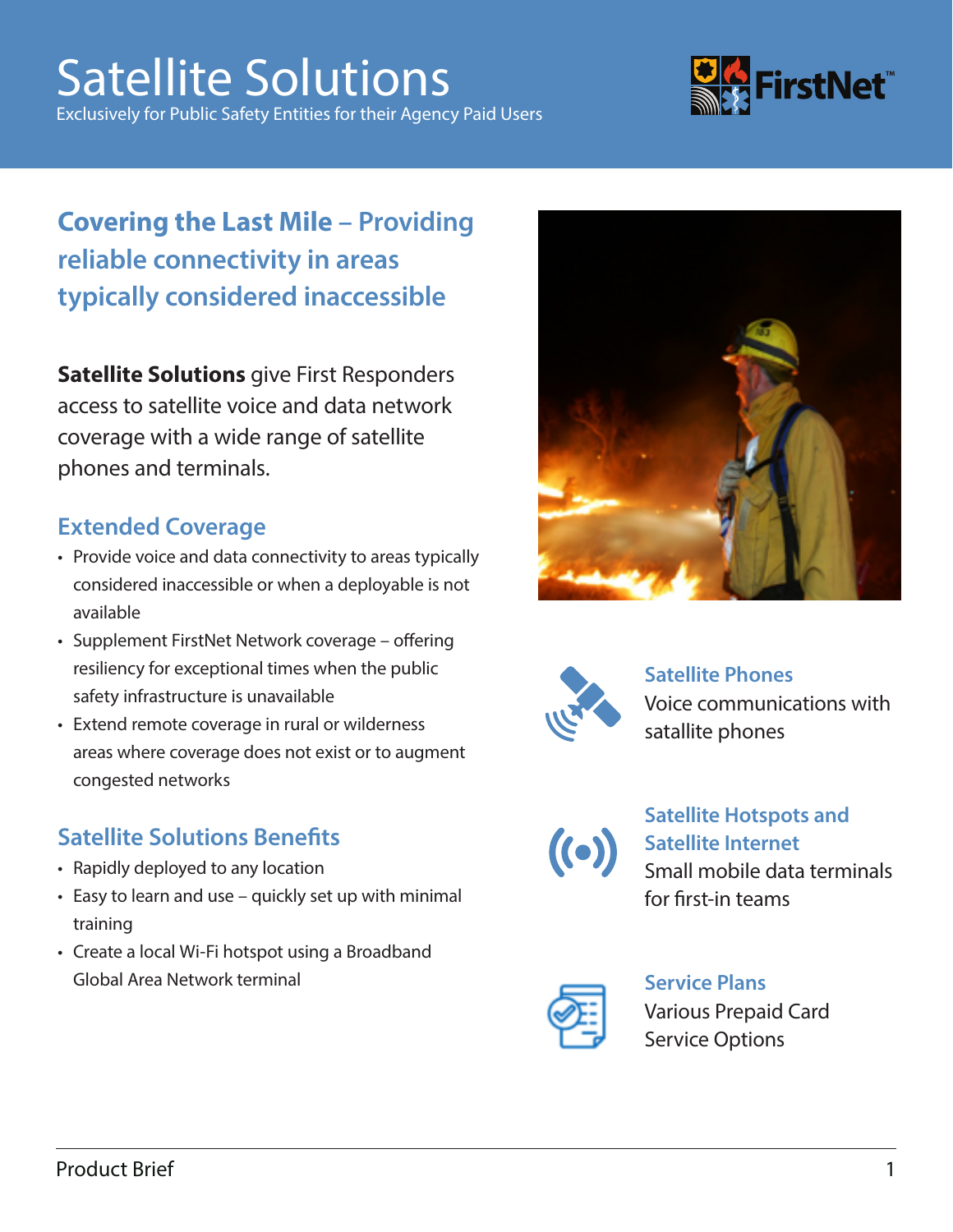# Satellite Solutions

Exclusively for Public Safety Entities for their Agency Paid Users



### **Covering the Last Mile – Providing reliable connectivity in areas typically considered inaccessible**

**Satellite Solutions** give First Responders access to satellite voice and data network coverage with a wide range of satellite phones and terminals.

### **Extended Coverage**

- Provide voice and data connectivity to areas typically considered inaccessible or when a deployable is not available
- Supplement FirstNet Network coverage offering resiliency for exceptional times when the public safety infrastructure is unavailable
- Extend remote coverage in rural or wilderness areas where coverage does not exist or to augment congested networks

#### **Satellite Solutions Benefits**

- Rapidly deployed to any location
- Easy to learn and use quickly set up with minimal training
- Create a local Wi-Fi hotspot using a Broadband Global Area Network terminal





#### **Satellite Phones** Voice communications with satallite phones



#### **Satellite Hotspots and Satellite Internet** Small mobile data terminals for first-in teams



#### **Service Plans** Various Prepaid Card Service Options